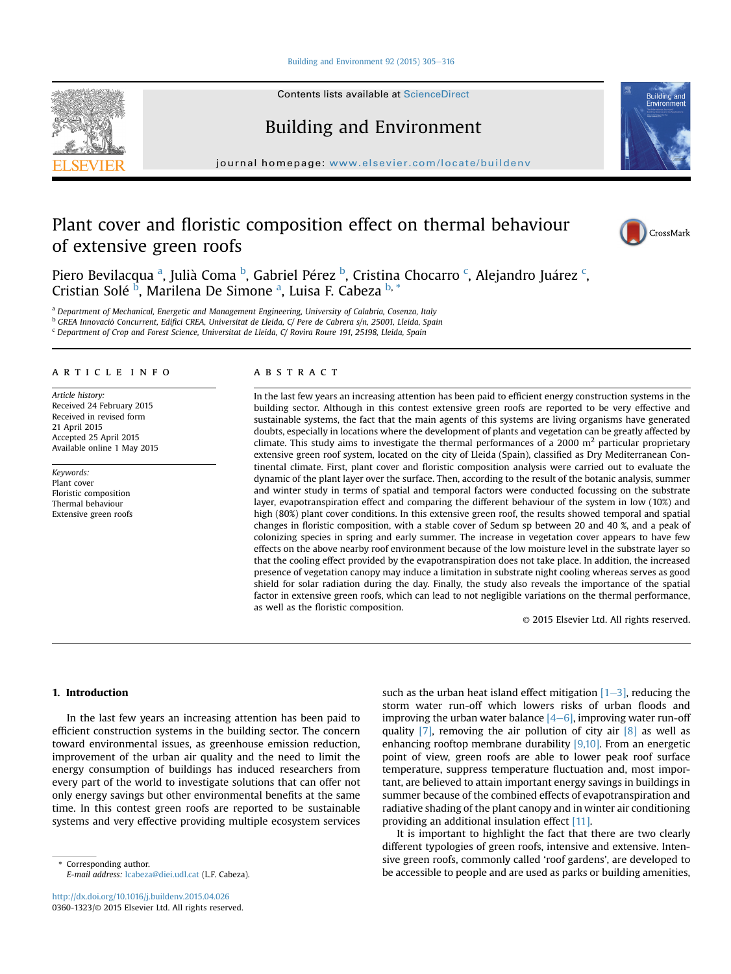### Building and Environment 92 (2015)  $305-316$  $305-316$

Contents lists available at [ScienceDirect](www.sciencedirect.com/science/journal/03601323)

# Building and Environment

journal homepage: [www.elsevier.com/locate/buildenv](http://www.elsevier.com/locate/buildenv)

# Plant cover and floristic composition effect on thermal behaviour of extensive green roofs



**Puilding** 

Piero Bevilacqua <sup>a</sup>, Julià Coma <sup>b</sup>, Gabriel Pérez <sup>b</sup>, Cristina Chocarro <sup>c</sup>, Alejandro Juárez <sup>c</sup>, Cristian Solé <sup>b</sup>, Marilena De Simone <sup>a</sup>, Luisa F. Cabeza <sup>b, \*</sup>

a Department of Mechanical, Energetic and Management Engineering, University of Calabria, Cosenza, Italy

<sup>b</sup> GREA Innovació Concurrent, Edifici CREA, Universitat de Lleida, C/ Pere de Cabrera s/n, 25001, Lleida, Spain

 $c$  Department of Crop and Forest Science, Universitat de Lleida, C/ Rovira Roure 191, 25198, Lleida, Spain

## article info

Article history: Received 24 February 2015 Received in revised form 21 April 2015 Accepted 25 April 2015 Available online 1 May 2015

Keywords: Plant cover Floristic composition Thermal behaviour Extensive green roofs

# ABSTRACT

In the last few years an increasing attention has been paid to efficient energy construction systems in the building sector. Although in this contest extensive green roofs are reported to be very effective and sustainable systems, the fact that the main agents of this systems are living organisms have generated doubts, especially in locations where the development of plants and vegetation can be greatly affected by climate. This study aims to investigate the thermal performances of a 2000  $m<sup>2</sup>$  particular proprietary extensive green roof system, located on the city of Lleida (Spain), classified as Dry Mediterranean Continental climate. First, plant cover and floristic composition analysis were carried out to evaluate the dynamic of the plant layer over the surface. Then, according to the result of the botanic analysis, summer and winter study in terms of spatial and temporal factors were conducted focussing on the substrate layer, evapotranspiration effect and comparing the different behaviour of the system in low (10%) and high (80%) plant cover conditions. In this extensive green roof, the results showed temporal and spatial changes in floristic composition, with a stable cover of Sedum sp between 20 and 40 %, and a peak of colonizing species in spring and early summer. The increase in vegetation cover appears to have few effects on the above nearby roof environment because of the low moisture level in the substrate layer so that the cooling effect provided by the evapotranspiration does not take place. In addition, the increased presence of vegetation canopy may induce a limitation in substrate night cooling whereas serves as good shield for solar radiation during the day. Finally, the study also reveals the importance of the spatial factor in extensive green roofs, which can lead to not negligible variations on the thermal performance, as well as the floristic composition.

© 2015 Elsevier Ltd. All rights reserved.

### 1. Introduction

In the last few years an increasing attention has been paid to efficient construction systems in the building sector. The concern toward environmental issues, as greenhouse emission reduction, improvement of the urban air quality and the need to limit the energy consumption of buildings has induced researchers from every part of the world to investigate solutions that can offer not only energy savings but other environmental benefits at the same time. In this contest green roofs are reported to be sustainable systems and very effective providing multiple ecosystem services

E-mail address: [lcabeza@diei.udl.cat](mailto:lcabeza@diei.udl.cat) (L.F. Cabeza).

such as the urban heat island effect mitigation  $[1-3]$ , reducing the storm water run-off which lowers risks of urban floods and improving the urban water balance  $[4-6]$ , improving water run-off quality  $[7]$ , removing the air pollution of city air  $[8]$  as well as enhancing rooftop membrane durability [9,10]. From an energetic point of view, green roofs are able to lower peak roof surface temperature, suppress temperature fluctuation and, most important, are believed to attain important energy savings in buildings in summer because of the combined effects of evapotranspiration and radiative shading of the plant canopy and in winter air conditioning providing an additional insulation effect [11].

It is important to highlight the fact that there are two clearly different typologies of green roofs, intensive and extensive. Intensive green roofs, commonly called 'roof gardens', are developed to Corresponding author.<br>
Be accessible to people and are used as parks or building amenities,<br>
Be accessible to people and are used as parks or building amenities,

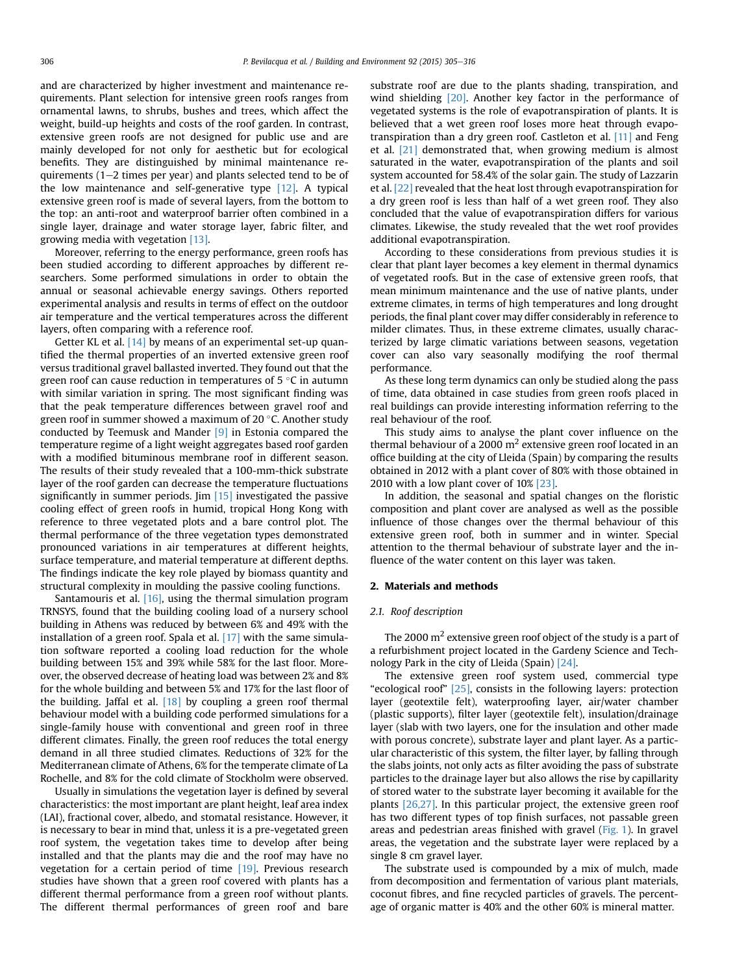and are characterized by higher investment and maintenance requirements. Plant selection for intensive green roofs ranges from ornamental lawns, to shrubs, bushes and trees, which affect the weight, build-up heights and costs of the roof garden. In contrast, extensive green roofs are not designed for public use and are mainly developed for not only for aesthetic but for ecological benefits. They are distinguished by minimal maintenance requirements  $(1-2$  times per year) and plants selected tend to be of the low maintenance and self-generative type [12]. A typical extensive green roof is made of several layers, from the bottom to the top: an anti-root and waterproof barrier often combined in a single layer, drainage and water storage layer, fabric filter, and growing media with vegetation [13].

Moreover, referring to the energy performance, green roofs has been studied according to different approaches by different researchers. Some performed simulations in order to obtain the annual or seasonal achievable energy savings. Others reported experimental analysis and results in terms of effect on the outdoor air temperature and the vertical temperatures across the different layers, often comparing with a reference roof.

Getter KL et al. [14] by means of an experimental set-up quantified the thermal properties of an inverted extensive green roof versus traditional gravel ballasted inverted. They found out that the green roof can cause reduction in temperatures of  $5^{\circ}$ C in autumn with similar variation in spring. The most significant finding was that the peak temperature differences between gravel roof and green roof in summer showed a maximum of 20 $\degree$ C. Another study conducted by Teemusk and Mander [9] in Estonia compared the temperature regime of a light weight aggregates based roof garden with a modified bituminous membrane roof in different season. The results of their study revealed that a 100-mm-thick substrate layer of the roof garden can decrease the temperature fluctuations significantly in summer periods. Jim [15] investigated the passive cooling effect of green roofs in humid, tropical Hong Kong with reference to three vegetated plots and a bare control plot. The thermal performance of the three vegetation types demonstrated pronounced variations in air temperatures at different heights, surface temperature, and material temperature at different depths. The findings indicate the key role played by biomass quantity and structural complexity in moulding the passive cooling functions.

Santamouris et al. [16], using the thermal simulation program TRNSYS, found that the building cooling load of a nursery school building in Athens was reduced by between 6% and 49% with the installation of a green roof. Spala et al. [17] with the same simulation software reported a cooling load reduction for the whole building between 15% and 39% while 58% for the last floor. Moreover, the observed decrease of heating load was between 2% and 8% for the whole building and between 5% and 17% for the last floor of the building. Jaffal et al. [18] by coupling a green roof thermal behaviour model with a building code performed simulations for a single-family house with conventional and green roof in three different climates. Finally, the green roof reduces the total energy demand in all three studied climates. Reductions of 32% for the Mediterranean climate of Athens, 6% for the temperate climate of La Rochelle, and 8% for the cold climate of Stockholm were observed.

Usually in simulations the vegetation layer is defined by several characteristics: the most important are plant height, leaf area index (LAI), fractional cover, albedo, and stomatal resistance. However, it is necessary to bear in mind that, unless it is a pre-vegetated green roof system, the vegetation takes time to develop after being installed and that the plants may die and the roof may have no vegetation for a certain period of time [19]. Previous research studies have shown that a green roof covered with plants has a different thermal performance from a green roof without plants. The different thermal performances of green roof and bare substrate roof are due to the plants shading, transpiration, and wind shielding [20]. Another key factor in the performance of vegetated systems is the role of evapotranspiration of plants. It is believed that a wet green roof loses more heat through evapotranspiration than a dry green roof. Castleton et al. [11] and Feng et al. [21] demonstrated that, when growing medium is almost saturated in the water, evapotranspiration of the plants and soil system accounted for 58.4% of the solar gain. The study of Lazzarin et al. [22] revealed that the heat lost through evapotranspiration for a dry green roof is less than half of a wet green roof. They also concluded that the value of evapotranspiration differs for various climates. Likewise, the study revealed that the wet roof provides additional evapotranspiration.

According to these considerations from previous studies it is clear that plant layer becomes a key element in thermal dynamics of vegetated roofs. But in the case of extensive green roofs, that mean minimum maintenance and the use of native plants, under extreme climates, in terms of high temperatures and long drought periods, the final plant cover may differ considerably in reference to milder climates. Thus, in these extreme climates, usually characterized by large climatic variations between seasons, vegetation cover can also vary seasonally modifying the roof thermal performance.

As these long term dynamics can only be studied along the pass of time, data obtained in case studies from green roofs placed in real buildings can provide interesting information referring to the real behaviour of the roof.

This study aims to analyse the plant cover influence on the thermal behaviour of a 2000  $m<sup>2</sup>$  extensive green roof located in an office building at the city of Lleida (Spain) by comparing the results obtained in 2012 with a plant cover of 80% with those obtained in 2010 with a low plant cover of 10% [23].

In addition, the seasonal and spatial changes on the floristic composition and plant cover are analysed as well as the possible influence of those changes over the thermal behaviour of this extensive green roof, both in summer and in winter. Special attention to the thermal behaviour of substrate layer and the influence of the water content on this layer was taken.

## 2. Materials and methods

#### 2.1. Roof description

The 2000  $m<sup>2</sup>$  extensive green roof object of the study is a part of a refurbishment project located in the Gardeny Science and Technology Park in the city of Lleida (Spain) [24].

The extensive green roof system used, commercial type "ecological roof" [25], consists in the following layers: protection layer (geotextile felt), waterproofing layer, air/water chamber (plastic supports), filter layer (geotextile felt), insulation/drainage layer (slab with two layers, one for the insulation and other made with porous concrete), substrate layer and plant layer. As a particular characteristic of this system, the filter layer, by falling through the slabs joints, not only acts as filter avoiding the pass of substrate particles to the drainage layer but also allows the rise by capillarity of stored water to the substrate layer becoming it available for the plants [26,27]. In this particular project, the extensive green roof has two different types of top finish surfaces, not passable green areas and pedestrian areas finished with gravel (Fig. 1). In gravel areas, the vegetation and the substrate layer were replaced by a single 8 cm gravel layer.

The substrate used is compounded by a mix of mulch, made from decomposition and fermentation of various plant materials, coconut fibres, and fine recycled particles of gravels. The percentage of organic matter is 40% and the other 60% is mineral matter.